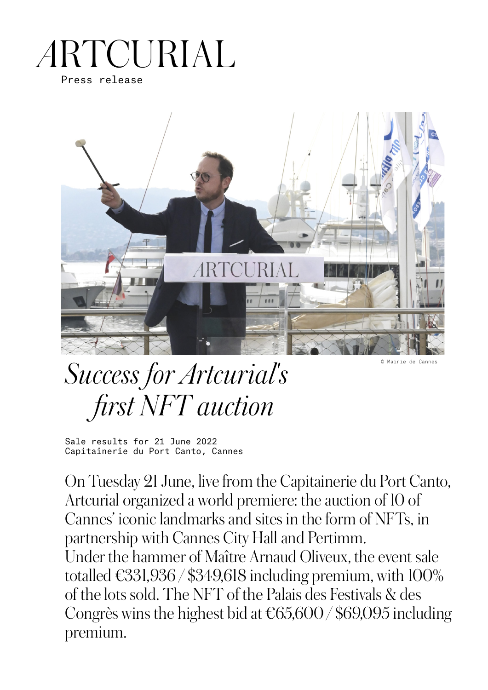## RTCURIAL Press release



© Mairie de Cannes

# *Success for Artcurial's first NFT auction*

Sale results for 21 June 2022 Capitainerie du Port Canto, Cannes

On Tuesday 21 June, live from the Capitainerie du Port Canto, Artcurial organized a world premiere: the auction of 10 of Cannes' iconic landmarks and sites in the form of NFTs, in partnership with Cannes City Hall and Pertimm. Under the hammer of Maître Arnaud Oliveux, the event sale totalled  $\text{\textsterling}331,936 / $349,618$  including premium, with  $100\%$ of the lots sold. The NFT of the Palais des Festivals & des Congrès wins the highest bid at €65,600 / \$69,095 including premium.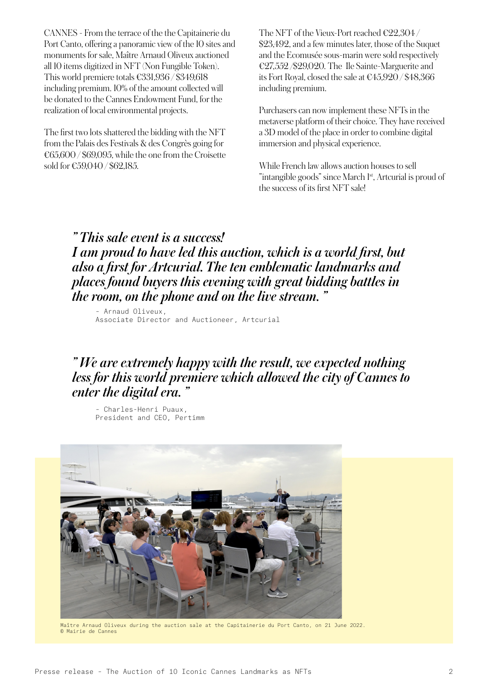CANNES - From the terrace of the the Capitainerie du Port Canto, offering a panoramic view of the 10 sites and monuments for sale, Maître Arnaud Oliveux auctioned all 10 items digitized in NFT (Non Fungible Token). This world premiere totals €331,936 / \$349,618 including premium. 10% of the amount collected will be donated to the Cannes Endowment Fund, for the realization of local environmental projects.

The first two lots shattered the bidding with the NFT from the Palais des Festivals & des Congrès going for €65,600 / \$69,095, while the one from the Croisette sold for €59,040 / \$62,185.

The NFT of the Vieux-Port reached €22,304 / \$23,492, and a few minutes later, those of the Suquet and the Ecomusée sous-marin were sold respectively €27,552 /\$29,020. The Ile Sainte-Marguerite and its Fort Royal, closed the sale at €45,920 / \$48,366 including premium.

Purchasers can now implement these NFTs in the metaverse platform of their choice. They have received a 3D model of the place in order to combine digital immersion and physical experience.

While French law allows auction houses to sell "intangible goods" since March 1<sup>st</sup>, Artcurial is proud of the success of its first NFT sale!

*" This sale event is a success! I am proud to have led this auction, which is a world first, but also a first for Artcurial. The ten emblematic landmarks and places found buyers this evening with great bidding battles in the room, on the phone and on the live stream. "*

– Arnaud Oliveux, Associate Director and Auctioneer, Artcurial

#### *" We are extremely happy with the result, we expected nothing less for this world premiere which allowed the city of Cannes to enter the digital era. "*

– Charles-Henri Puaux, President and CEO, Pertimm



Maître Arnaud Oliveux during the auction sale at the Capitainerie du Port Canto, on 21 June 2022. © Mairie de Cannes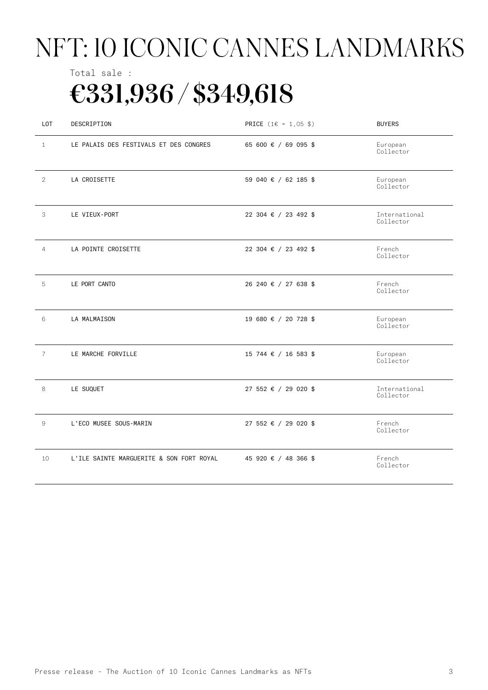# NFT: 10 ICONIC CANNES LANDMARKS

## Total sale : €331,936 / \$349,618

| LOT            | DESCRIPTION                              | PRICE (1€ = 1,05 \$) | <b>BUYERS</b>              |
|----------------|------------------------------------------|----------------------|----------------------------|
| $\mathbf{1}$   | LE PALAIS DES FESTIVALS ET DES CONGRES   | 65 600 € / 69 095 \$ | European<br>Collector      |
| $\overline{2}$ | LA CROISETTE                             | 59 040 € / 62 185 \$ | European<br>Collector      |
| 3              | LE VIEUX-PORT                            | 22 304 € / 23 492 \$ | International<br>Collector |
| $\overline{4}$ | LA POINTE CROISETTE                      | 22 304 € / 23 492 \$ | French<br>Collector        |
| 5              | LE PORT CANTO                            | 26 240 € / 27 638 \$ | French<br>Collector        |
| 6              | LA MALMAISON                             | 19 680 € / 20 728 \$ | European<br>Collector      |
| $\overline{7}$ | LE MARCHE FORVILLE                       | 15 744 € / 16 583 \$ | European<br>Collector      |
| 8              | LE SUQUET                                | 27 552 € / 29 020 \$ | International<br>Collector |
| 9              | L'ECO MUSEE SOUS-MARIN                   | 27 552 € / 29 020 \$ | French<br>Collector        |
| 10             | L'ILE SAINTE MARGUERITE & SON FORT ROYAL | 45 920 € / 48 366 \$ | French<br>Collector        |